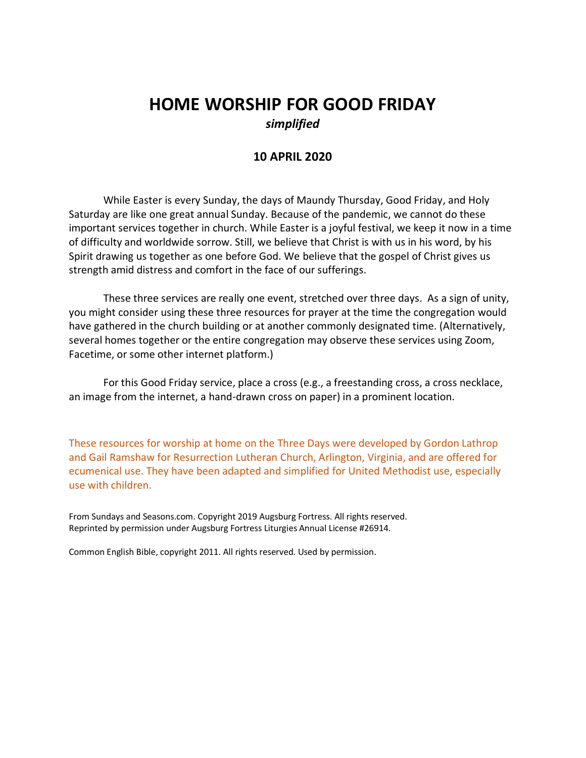# **HOME WORSHIP FOR GOOD FRIDAY** *simplified*

## **10 APRIL 2020**

While Easter is every Sunday, the days of Maundy Thursday, Good Friday, and Holy Saturday are like one great annual Sunday. Because of the pandemic, we cannot do these important services together in church. While Easter is a joyful festival, we keep it now in a time of difficulty and worldwide sorrow. Still, we believe that Christ is with us in his word, by his Spirit drawing us together as one before God. We believe that the gospel of Christ gives us strength amid distress and comfort in the face of our sufferings.

These three services are really one event, stretched over three days. As a sign of unity, you might consider using these three resources for prayer at the time the congregation would have gathered in the church building or at another commonly designated time. (Alternatively, several homes together or the entire congregation may observe these services using Zoom, Facetime, or some other internet platform.)

For this Good Friday service, place a cross (e.g., a freestanding cross, a cross necklace, an image from the internet, a hand-drawn cross on paper) in a prominent location.

These resources for worship at home on the Three Days were developed by Gordon Lathrop and Gail Ramshaw for Resurrection Lutheran Church, Arlington, Virginia, and are offered for ecumenical use. They have been adapted and simplified for United Methodist use, especially use with children.

From Sundays and Seasons.com. Copyright 2019 Augsburg Fortress. All rights reserved. Reprinted by permission under Augsburg Fortress Liturgies Annual License #26914.

Common English Bible, copyright 2011. All rights reserved. Used by permission.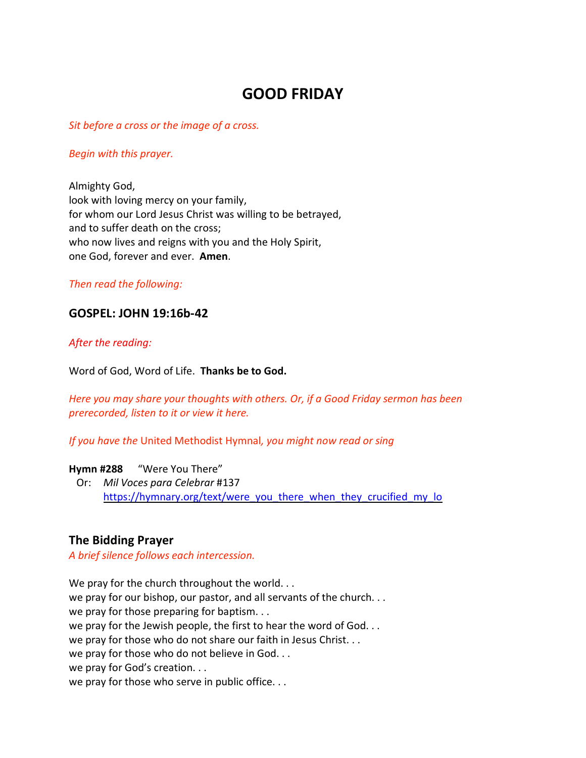## **GOOD FRIDAY**

*Sit before a cross or the image of a cross.*

#### *Begin with this prayer.*

Almighty God, look with loving mercy on your family, for whom our Lord Jesus Christ was willing to be betrayed, and to suffer death on the cross; who now lives and reigns with you and the Holy Spirit, one God, forever and ever. **Amen**.

#### *Then read the following:*

## **GOSPEL: JOHN 19:16b-42**

### *After the reading:*

Word of God, Word of Life. **Thanks be to God.**

*Here you may share your thoughts with others. Or, if a Good Friday sermon has been prerecorded, listen to it or view it here.*

*If you have the* United Methodist Hymnal*, you might now read or sing*

#### **Hymn #288** "Were You There"

 Or: *Mil Voces para Celebrar* #137 [https://hymnary.org/text/were\\_you\\_there\\_when\\_they\\_crucified\\_my\\_lo](https://hymnary.org/text/were_you_there_when_they_crucified_my_lo)

## **The Bidding Prayer**

*A brief silence follows each intercession.*

We pray for the church throughout the world. . . we pray for our bishop, our pastor, and all servants of the church. . . we pray for those preparing for baptism... we pray for the Jewish people, the first to hear the word of God. . . we pray for those who do not share our faith in Jesus Christ. . . we pray for those who do not believe in God. . . we pray for God's creation. . . we pray for those who serve in public office. . .